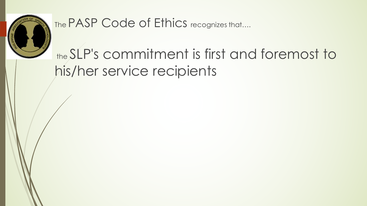

The PASP Code of Ethics recognizes that....

## the SLP's commitment is first and foremost to his/her service recipients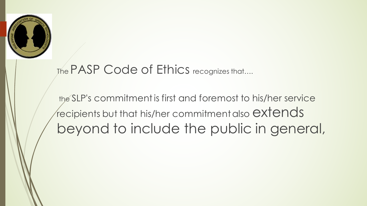

#### The PASP Code of Ethics recognizes that....

the SLP's commitment is first and foremost to his/her service  $\sqrt{r}$  recipients but that his/her commitment also  $extends$ beyond to include the public in general,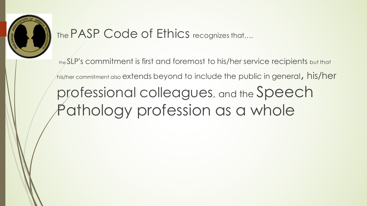

#### The PASP Code of Ethics recognizes that....

the SLP's commitment is first and foremost to his/her service recipients but that his/her commitment also extends beyond to include the public in general, his/her professional colleagues, and the Speech Pathology profession as a whole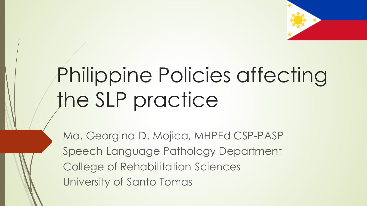

# Philippine Policies affecting the SLP practice

Ma. Georgina D. Mojica, MHPEd CSP-PASP Speech Language Pathology Department College of Rehabilitation Sciences University of Santo Tomas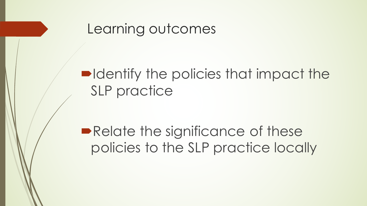

#### $\blacksquare$  Identify the policies that impact the SLP practice

**• Relate the significance of these** policies to the SLP practice locally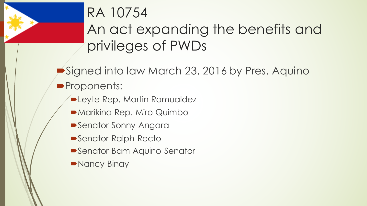

# RA 10754

An act expanding the benefits and privileges of PWDs

Signed into law March 23, 2016 by Pres. Aquino **Proponents:** 

- **ELeyte Rep. Martin Romualdez**
- $\blacktriangleright$  Marikina Rep. Miro Quimbo
- **Senator Sonny Angara**
- **Senator Ralph Recto**
- **Senator Bam Aquino Senator**
- Nancy Binay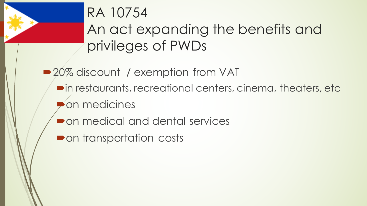

### RA 10754

An act expanding the benefits and privileges of PWDs

■ 20% discount / exemption from VAT  $\blacksquare$  in restaurants, recreational centers, cinema, theaters, etc. ´on medicines

• on medical and dental services

**Pon transportation costs**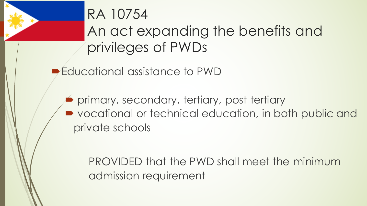

 $\blacktriangleright$  Educational assistance to PWD

primary, secondary, tertiary, post tertiary • vocational or technical education, in both public and private schools

PROVIDED that the PWD shall meet the minimum admission requirement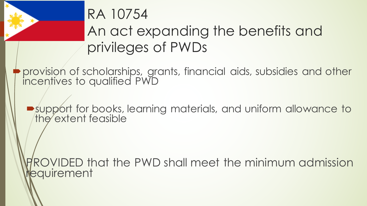

provision of scholarships, grants, financial aids, subsidies and other incentives to qualified PWD

 $\rightarrow$  support for books, learning materials, and uniform allowance to the extent feasible

ROVIDED that the PWD shall meet the minimum admission equirement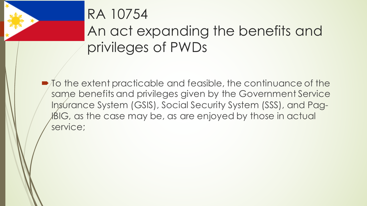

 $\blacksquare$  To the extent practicable and feasible, the continuance of the same benefits and privileges given by the Government Service Insurance System (GSIS), Social Security System (SSS), and Pag-ABIG, as the case may be, as are enjoyed by those in actual service;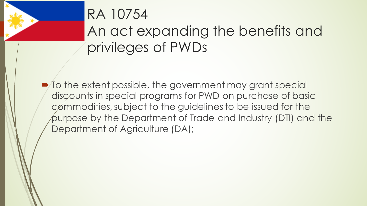

 $\blacktriangleright$  To the extent possible, the government may grant special discounts in special programs for PWD on purchase of basic commodities, subject to the guidelines to be issued for the purpose by the Department of Trade and Industry (DTI) and the Department of Agriculture (DA);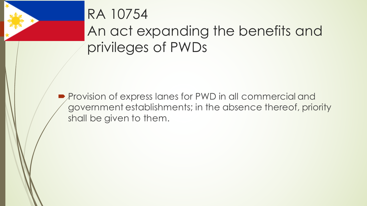

**Provision of express lanes for PWD in all commercial and** government establishments; in the absence thereof, priority shall be given to them.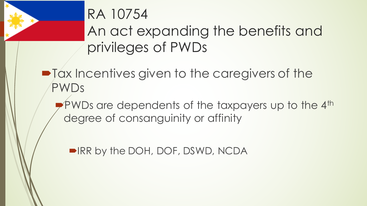

# RA 10754

An act expanding the benefits and privileges of PWDs

 $\blacksquare$  Tax Incentives given to the caregivers of the PWDs

 $\blacktriangleright$ PWDs are dependents of the taxpayers up to the 4<sup>th</sup> degree of consanguinity or affinity

■IRR by the DOH, DOF, DSWD, NCDA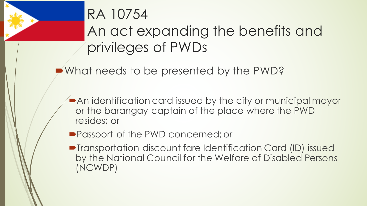

• What needs to be presented by the PWD?

 $\blacktriangleright$  An identification card issued by the city or municipal mayor or the barangay captain of the place where the PWD resides; or

- Passport of the PWD concerned; or
- Transportation discount fare Identification Card (ID) issued by the National Council for the Welfare of Disabled Persons (NCWDP)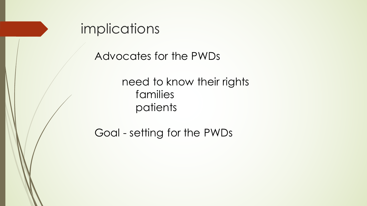

Advocates for the PWDs

need to know their rights families patients

Goal - setting for the PWDs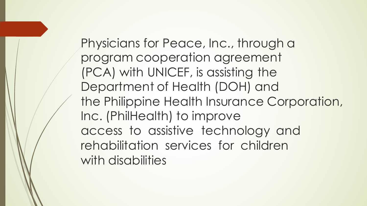Physicians for Peace, Inc., through a program cooperation agreement (PCA) with UNICEF, is assisting the Department of Health (DOH) and the Philippine Health Insurance Corporation, Inc. (PhilHealth) to improve access to assistive technology and rehabilitation services for children with disabilities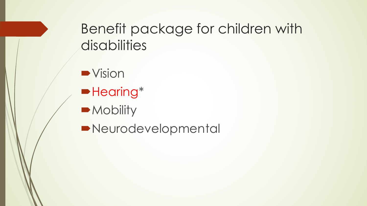#### Benefit package for children with disabilities

 $\blacktriangleright$  Vision

- $\blacktriangleright$  Hearing\*
- Mobility

**Neurodevelopmental**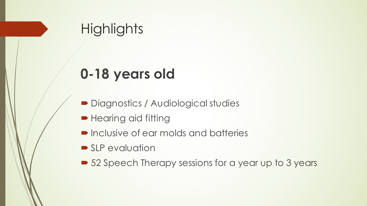#### **Highlights**

### **0-18 years old**

- Diagnostics / Audiological studies
- Hearing aid fitting
- Inclusive of ear molds and batteries
- $\blacktriangleright$  SLP evaluation
- 52 Speech Therapy sessions for a year up to 3 years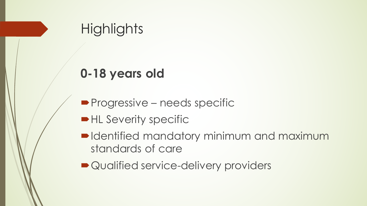

#### **0-18 years old**

- **Progressive needs specific**
- HL Severity specific
- $\blacksquare$ Identified mandatory minimum and maximum standards of care
- Qualified service-delivery providers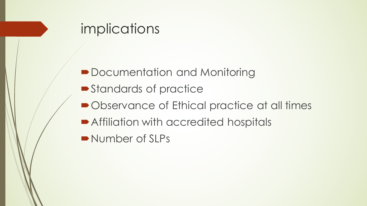#### implications

- Documentation and Monitoring
- Standards of practice
- Observance of Ethical practice at all times
- **Affiliation with accredited hospitals**
- Number of SLPs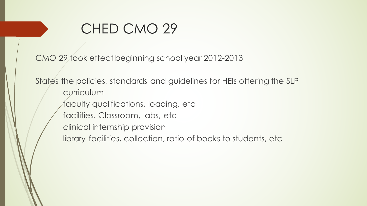#### CHED CMO 29

CMO 29 took effect beginning school year 2012-2013

States the policies, standards and guidelines for HEIs offering the SLP curriculum faculty qualifications, loading, etc facilities. Classroom, labs, etc clinical internship provision library facilities, collection, ratio of books to students, etc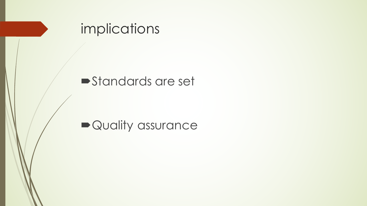

#### **Standards are set**

#### • Quality assurance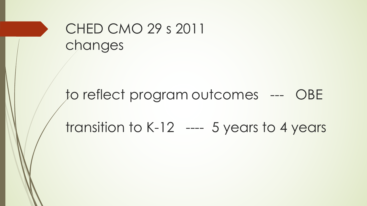#### CHED CMO 29 s 2011 changes

to reflect program outcomes --- OBE transition to K-12 ---- 5 years to 4 years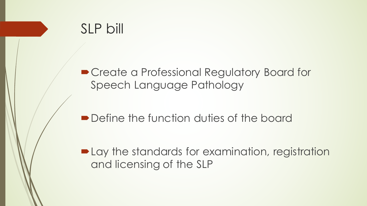#### SLP bill

■ Create a Professional Regulatory Board for Speech Language Pathology

• Define the function duties of the board

• Lay the standards for examination, registration and licensing of the SLP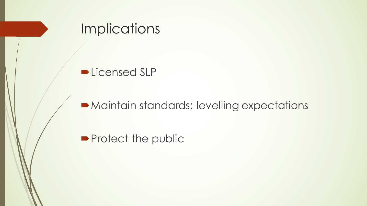

 $\blacktriangleright$  Maintain standards; levelling expectations

**Protect the public**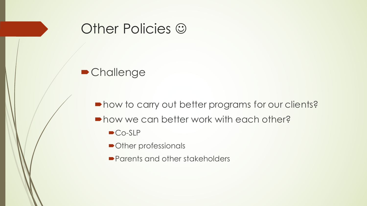

#### **•Challenge**

 $\blacksquare$  how to carry out better programs for our clients?

- $\blacksquare$  how we can better work with each other?
	- $\bigcirc$ Co-SLP
	- Other professionals
	- Parents and other stakeholders